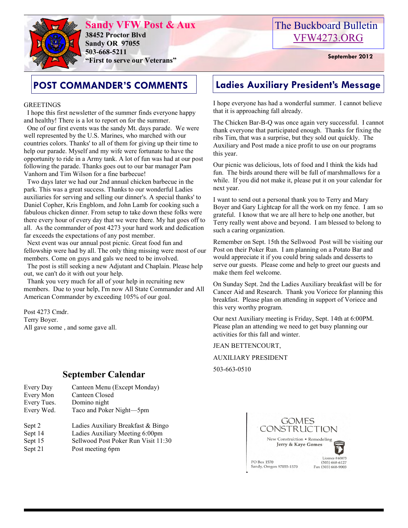

**Sandy VFW Post & Aux 38452 Proctor Blvd Sandy OR 97055 503-668-5211 "First to serve our Veterans" September 2012** 

### The Buckboard Bulletin [VFW4273.ORG](http://vfw4273.org/)

#### GREETINGS

 I hope this first newsletter of the summer finds everyone happy and healthy! There is a lot to report on for the summer.

 One of our first events was the sandy Mt. days parade. We were well represented by the U.S. Marines, who marched with our countries colors. Thanks' to all of them for giving up their time to help our parade. Myself and my wife were fortunate to have the opportunity to ride in a Army tank. A lot of fun was had at our post following the parade. Thanks goes out to our bar manager Pam Vanhorn and Tim Wilson for a fine barbecue!

 Two days later we had our 2nd annual chicken barbecue in the park. This was a great success. Thanks to our wonderful Ladies auxiliaries for serving and selling our dinner's. A special thanks' to Daniel Copher, Kris Engblom, and John Lamb for cooking such a fabulous chicken dinner. From setup to take down these folks were there every hour of every day that we were there. My hat goes off to all. As the commander of post 4273 your hard work and dedication far exceeds the expectations of any post member.

 Next event was our annual post picnic. Great food fun and fellowship were had by all. The only thing missing were most of our members. Come on guys and gals we need to be involved.

 The post is still seeking a new Adjutant and Chaplain. Please help out, we can't do it with out your help.

 Thank you very much for all of your help in recruiting new members. Due to your help, I'm now All State Commander and All American Commander by exceeding 105% of our goal.

Post 4273 Cmdr. Terry Boyer. All gave some , and some gave all.

### **September Calendar**

- Every Day Canteen Menu (Except Monday) Every Mon Canteen Closed Every Tues. Domino night Every Wed. Taco and Poker Night—5pm
- Sept 2 Ladies Auxiliary Breakfast & Bingo
- Sept 14 Ladies Auxiliary Meeting 6:00pm
- 
- Sept 15 Sellwood Post Poker Run Visit 11:30
- Sept 21 Post meeting 6pm

## **POST COMMANDER'S COMMENTS Ladies Auxiliary President's Message**

I hope everyone has had a wonderful summer. I cannot believe that it is approaching fall already.

The Chicken Bar-B-Q was once again very successful. I cannot thank everyone that participated enough. Thanks for fixing the ribs Tim, that was a surprise, but they sold out quickly. The Auxiliary and Post made a nice profit to use on our programs this year.

Our picnic was delicious, lots of food and I think the kids had fun. The birds around there will be full of marshmallows for a while. If you did not make it, please put it on your calendar for next year.

I want to send out a personal thank you to Terry and Mary Boyer and Gary Lightcap for all the work on my fence. I am so grateful. I know that we are all here to help one another, but Terry really went above and beyond. I am blessed to belong to such a caring organization.

Remember on Sept. 15th the Sellwood Post will be visiting our Post on their Poker Run. I am planning on a Potato Bar and would appreciate it if you could bring salads and desserts to serve our guests. Please come and help to greet our guests and make them feel welcome.

On Sunday Sept. 2nd the Ladies Auxiliary breakfast will be for Cancer Aid and Research. Thank you Voriece for planning this breakfast. Please plan on attending in support of Voriece and this very worthy program.

Our next Auxiliary meeting is Friday, Sept. 14th at 6:00PM. Please plan an attending we need to get busy planning our activities for this fall and winter.

JEAN BETTENCOURT,

AUXILIARY PRESIDENT

503-663-0510

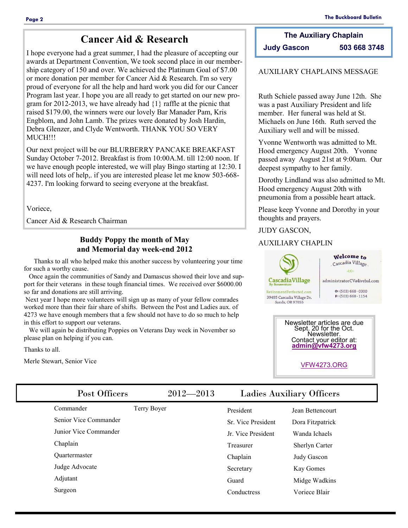### **Cancer Aid & Research**

I hope everyone had a great summer, I had the pleasure of accepting our awards at Department Convention, We took second place in our membership category of 150 and over. We achieved the Platinum Goal of \$7.00 or more donation per member for Cancer Aid & Research. I'm so very proud of everyone for all the help and hard work you did for our Cancer Program last year. I hope you are all ready to get started on our new program for 2012-2013, we have already had {1} raffle at the picnic that raised \$179.00, the winners were our lovely Bar Manader Pam, Kris Engblom, and John Lamb. The prizes were donated by Josh Hardin, Debra Glenzer, and Clyde Wentworth. THANK YOU SO VERY MUCH!!!

Our next project will be our BLURBERRY PANCAKE BREAKFAST Sunday October 7-2012. Breakfast is from 10:00A.M. till 12:00 noon. If we have enough people interested, we will play Bingo starting at 12:30. I will need lots of help,. if you are interested please let me know 503-668- 4237. I'm looking forward to seeing everyone at the breakfast.

Voriece,

Cancer Aid & Research Chairman

#### **Buddy Poppy the month of May and Memorial day week-end 2012**

 Thanks to all who helped make this another success by volunteering your time for such a worthy cause.

 Once again the communities of Sandy and Damascus showed their love and support for their veterans in these tough financial times. We received over \$6000.00 so far and donations are still arriving.

Next year I hope more volunteers will sign up as many of your fellow comrades worked more than their fair share of shifts. Between the Post and Ladies aux. of 4273 we have enough members that a few should not have to do so much to help in this effort to support our veterans.

 We will again be distributing Poppies on Veterans Day week in November so please plan on helping if you can.

Thanks to all.

Merle Stewart, Senior Vice

**The Auxiliary Chaplain Judy Gascon 503 668 3748**

#### AUXILIARY CHAPLAINS MESSAGE

Ruth Schiele passed away June 12th. She was a past Auxiliary President and life member. Her funeral was held at St. Michaels on June 16th. Ruth served the Auxiliary well and will be missed.

Yvonne Wentworth was admitted to Mt. Hood emergency August 20th. Yvonne passed away August 21st at 9:00am. Our deepest sympathy to her family.

Dorothy Lindland was also admitted to Mt. Hood emergency August 20th with pneumonia from a possible heart attack.

Please keep Yvonne and Dorothy in your thoughts and prayers.

#### JUDY GASCON,

#### AUXILIARY CHAPLIN



Newsletter articles are due Sept. 20 for the Oct. Newsletter. Contact your editor at: **[admin@vfw4273.org](mailto:admin@vfw4273.org)**

[VFW4273.ORG](http://vfw4273.org/)

| Post Officers         | $2012 - 2013$ |                           | <b>Ladies Auxiliary Officers</b> |
|-----------------------|---------------|---------------------------|----------------------------------|
| Commander             | Terry Boyer   | President                 | Jean Bettencourt                 |
| Senior Vice Commander |               | <b>Sr.</b> Vice President | Dora Fitzpatrick                 |
| Junior Vice Commander |               | Jr. Vice President        | Wanda Ichaels                    |
| Chaplain              |               | Treasurer                 | Sherlyn Carter                   |
| <b>Ouartermaster</b>  |               | Chaplain                  | Judy Gascon                      |
| Judge Advocate        |               | Secretary                 | Kay Gomes                        |
| Adjutant              |               | Guard                     | Midge Wadkins                    |
| Surgeon               |               | Conductress               | Voriece Blair                    |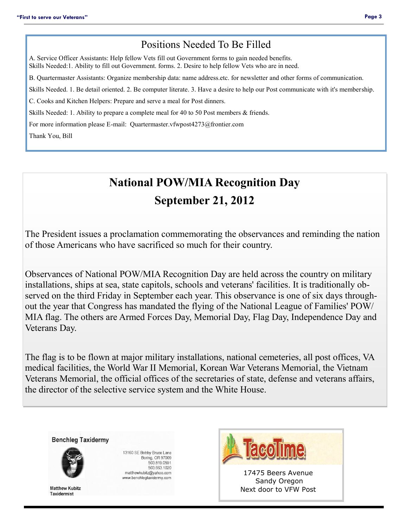### Positions Needed To Be Filled

A. Service Officer Assistants: Help fellow Vets fill out Government forms to gain needed benefits. Skills Needed:1. Ability to fill out Government. forms. 2. Desire to help fellow Vets who are in need.

B. Quartermaster Assistants: Organize membership data: name address.etc. for newsletter and other forms of communication.

Skills Needed. 1. Be detail oriented. 2. Be computer literate. 3. Have a desire to help our Post communicate with it's membership.

C. Cooks and Kitchen Helpers: Prepare and serve a meal for Post dinners.

Skills Needed: 1. Ability to prepare a complete meal for 40 to 50 Post members & friends.

For more information please E-mail: Quartermaster.vfwpost4273@frontier.com

Thank You, Bill

# **National POW/MIA Recognition Day September 21, 2012**

The President issues a proclamation commemorating the observances and reminding the nation of those Americans who have sacrificed so much for their country.

Observances of National POW/MIA Recognition Day are held across the country on military installations, ships at sea, state capitols, schools and veterans' facilities. It is traditionally observed on the third Friday in September each year. This observance is one of six days throughout the year that Congress has mandated the flying of the National League of Families' POW/ MIA flag. The others are Armed Forces Day, Memorial Day, Flag Day, Independence Day and Veterans Day.

The flag is to be flown at major military installations, national cemeteries, all post offices, VA medical facilities, the World War II Memorial, Korean War Veterans Memorial, the Vietnam Veterans Memorial, the official offices of the secretaries of state, defense and veterans affairs, the director of the selective service system and the White House.

**Benchleg Taxidermy** 



**Matthew Kubitz Taxidermist** 

13160 SE Bobby Bruce Lane Boring, OR 97009 503.819.0591 503.663.1020 matthewkubitz@yahoo.com www.benchlegtaxidermy.com



Sandy Oregon Next door to VFW Post